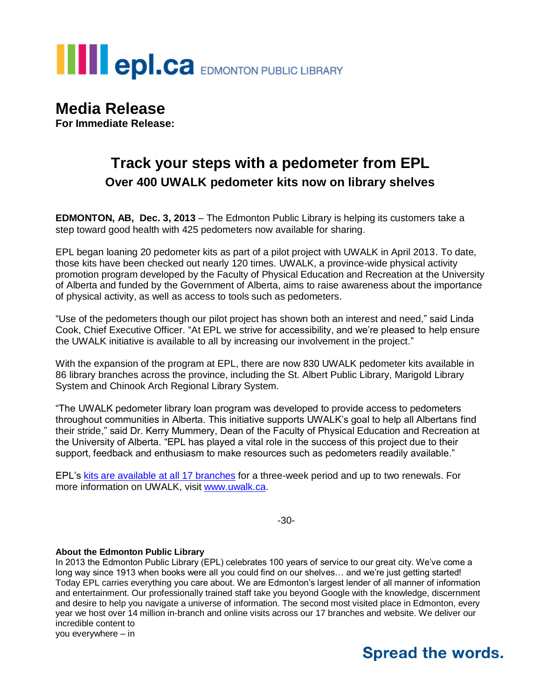

**Media Release For Immediate Release:**

## **Track your steps with a pedometer from EPL Over 400 UWALK pedometer kits now on library shelves**

**EDMONTON, AB, Dec. 3, 2013** – The Edmonton Public Library is helping its customers take a step toward good health with 425 pedometers now available for sharing.

EPL began loaning 20 pedometer kits as part of a pilot project with UWALK in April 2013. To date, those kits have been checked out nearly 120 times. UWALK, a province-wide physical activity promotion program developed by the Faculty of Physical Education and Recreation at the University of Alberta and funded by the Government of Alberta, aims to raise awareness about the importance of physical activity, as well as access to tools such as pedometers.

"Use of the pedometers though our pilot project has shown both an interest and need," said Linda Cook, Chief Executive Officer. "At EPL we strive for accessibility, and we're pleased to help ensure the UWALK initiative is available to all by increasing our involvement in the project."

With the expansion of the program at EPL, there are now 830 UWALK pedometer kits available in 86 library branches across the province, including the St. Albert Public Library, Marigold Library System and Chinook Arch Regional Library System.

"The UWALK pedometer library loan program was developed to provide access to pedometers throughout communities in Alberta. This initiative supports UWALK's goal to help all Albertans find their stride," said Dr. Kerry Mummery, Dean of the Faculty of Physical Education and Recreation at the University of Alberta. "EPL has played a vital role in the success of this project due to their support, feedback and enthusiasm to make resources such as pedometers readily available."

EPL's kits are available [at all 17 branches](http://epl.bibliocommons.com/item/show/1117026005908_uwalk_pedometer) for a three-week period and up to two renewals. For more information on UWALK, visit [www.uwalk.ca.](http://www.uwalk.ca/)

-30-

## **About the Edmonton Public Library**

In 2013 the Edmonton Public Library (EPL) celebrates 100 years of service to our great city. We've come a long way since 1913 when books were all you could find on our shelves... and we're just getting started! Today EPL carries everything you care about. We are Edmonton's largest lender of all manner of information and entertainment. Our professionally trained staff take you beyond Google with the knowledge, discernment and desire to help you navigate a universe of information. The second most visited place in Edmonton, every year we host over 14 million in-branch and online visits across our 17 branches and website. We deliver our incredible content to

you everywhere – in